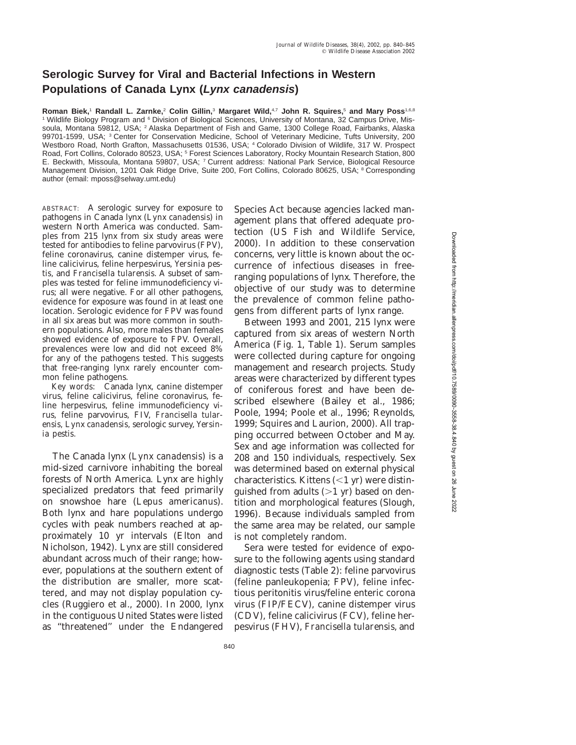## **Serologic Survey for Viral and Bacterial Infections in Western Populations of Canada Lynx (Lynx canadensis)**

**Roman Biek,**<sup>1</sup> **Randall L. Zarnke,**<sup>2</sup> **Colin Gillin,**<sup>3</sup> **Margaret Wild,**4,7 **John R. Squires,**<sup>5</sup> **and Mary Poss**1,6,8 <sup>1</sup> Wildlife Biology Program and <sup>6</sup> Division of Biological Sciences, University of Montana, 32 Campus Drive, Missoula, Montana 59812, USA; <sup>2</sup> Alaska Department of Fish and Game, 1300 College Road, Fairbanks, Alaska 99701-1599, USA; <sup>3</sup> Center for Conservation Medicine, School of Veterinary Medicine, Tufts University, 200 Westboro Road, North Grafton, Massachusetts 01536, USA; <sup>4</sup> Colorado Division of Wildlife, 317 W. Prospect Road, Fort Collins, Colorado 80523, USA; <sup>5</sup> Forest Sciences Laboratory, Rocky Mountain Research Station, 800 E. Beckwith, Missoula, Montana 59807, USA; <sup>7</sup> Current address: National Park Service, Biological Resource Management Division, 1201 Oak Ridge Drive, Suite 200, Fort Collins, Colorado 80625, USA; <sup>8</sup> Corresponding author (email: mposs@selway.umt.edu)

ABSTRACT: A serologic survey for exposure to pathogens in Canada lynx (*Lynx canadensis*) in western North America was conducted. Samples from 215 lynx from six study areas were tested for antibodies to feline parvovirus (FPV), feline coronavirus, canine distemper virus, feline calicivirus, feline herpesvirus, *Yersinia pestis,* and *Francisella tularensis.* A subset of samples was tested for feline immunodeficiency virus; all were negative. For all other pathogens, evidence for exposure was found in at least one location. Serologic evidence for FPV was found in all six areas but was more common in southern populations. Also, more males than females showed evidence of exposure to FPV. Overall, prevalences were low and did not exceed 8% for any of the pathogens tested. This suggests that free-ranging lynx rarely encounter common feline pathogens.

*Key words:* Canada lynx, canine distemper virus, feline calicivirus, feline coronavirus, feline herpesvirus, feline immunodeficiency virus, feline parvovirus, FIV, *Francisella tularensis, Lynx canadensis,* serologic survey, *Yersinia pestis.*

The Canada lynx (*Lynx canadensis*) is a mid-sized carnivore inhabiting the boreal forests of North America. Lynx are highly specialized predators that feed primarily on snowshoe hare (*Lepus americanus*). Both lynx and hare populations undergo cycles with peak numbers reached at approximately 10 yr intervals (Elton and Nicholson, 1942). Lynx are still considered abundant across much of their range; however, populations at the southern extent of the distribution are smaller, more scattered, and may not display population cycles (Ruggiero et al., 2000). In 2000, lynx in the contiguous United States were listed as ''threatened'' under the Endangered Species Act because agencies lacked management plans that offered adequate protection (US Fish and Wildlife Service, 2000). In addition to these conservation concerns, very little is known about the occurrence of infectious diseases in freeranging populations of lynx. Therefore, the objective of our study was to determine the prevalence of common feline pathogens from different parts of lynx range.

Between 1993 and 2001, 215 lynx were captured from six areas of western North America (Fig. 1, Table 1). Serum samples were collected during capture for ongoing management and research projects. Study areas were characterized by different types of coniferous forest and have been described elsewhere (Bailey et al., 1986; Poole, 1994; Poole et al., 1996; Reynolds, 1999; Squires and Laurion, 2000). All trapping occurred between October and May. Sex and age information was collected for 208 and 150 individuals, respectively. Sex was determined based on external physical characteristics. Kittens  $(<1$  yr) were distinguished from adults  $(>1 \text{ yr})$  based on dentition and morphological features (Slough, 1996). Because individuals sampled from the same area may be related, our sample is not completely random.

Sera were tested for evidence of exposure to the following agents using standard diagnostic tests (Table 2): feline parvovirus (feline panleukopenia; FPV), feline infectious peritonitis virus/feline enteric corona virus (FIP/FECV), canine distemper virus (CDV), feline calicivirus (FCV), feline herpesvirus (FHV), *Francisella tularensis,* and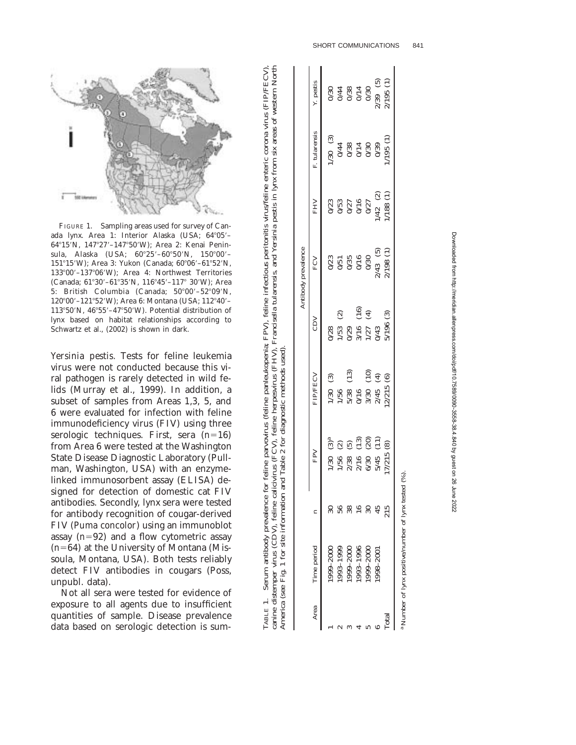

FIGURE 1. Sampling areas used for survey of Canada lynx. Area 1: Interior Alaska (USA; 64°05'-64°15′N, 147°27′-147°50′W); Area 2: Kenai Peninsula, Alaska (USA;  $60^{\circ}25' - 60^{\circ}50'$ N,  $150^{\circ}00'$ -151°15′W); Area 3: Yukon (Canada; 60°06′–61°52′N, 13300 –13706 W); Area 4: Northwest Territories (Canada; 61°30'-61°35'N, 116°45'-117° 30'W); Area 5: British Columbia (Canada; 50°00′–52°09′N, 120°00'–121°52'W); Area 6: Montana (USA; 112°40'–  $113°50'$ N,  $46°55' - 47°50'$ W). Potential distribution of lynx based on habitat relationships according to Schwartz et al., (2002) is shown in dark.

*Yersinia pestis.* Tests for feline leukemia virus were not conducted because this viral pathogen is rarely detected in wild felids (Murray et al., 1999). In addition, a subset of samples from Areas 1,3, 5, and 6 were evaluated for infection with feline immunodeficiency virus (FIV) using three serologic techniques. First, sera ( *n* 16) from Area 6 were tested at the Washington State Disease Diagnostic Laboratory (Pullman, Washington, USA) with an enzymelinked immunosorbent assay (ELISA) designed for detection of domestic cat FIV antibodies. Secondly, lynx sera were tested for antibody recognition of cougar-derived FIV (*Puma concolor*) using an immunoblot assay ( *n* 92) and a flow cytometric assay ( *n* 64) at the University of Montana (Missoula, Montana, USA). Both tests reliably detect FIV antibodies in cougars (Poss, unpubl. data).

Not all sera were tested for evidence of exposure to all agents due to insufficient quantities of sample. Disease prevalence data based on serologic detection is sum-

|                         |               |     |                                                                                       |                                                                                    |                                          | Antibody prevalence                       |                                                |                                                                                                 |                                                                                                  |
|-------------------------|---------------|-----|---------------------------------------------------------------------------------------|------------------------------------------------------------------------------------|------------------------------------------|-------------------------------------------|------------------------------------------------|-------------------------------------------------------------------------------------------------|--------------------------------------------------------------------------------------------------|
| Area                    | Time period   |     | FPV                                                                                   | <b>FIP/FECV</b>                                                                    | CDV                                      | FCV                                       | FHV                                            | F. tularensis                                                                                   | Y. pestis                                                                                        |
|                         | 1999-2000     |     | $\rm \mathring{3}^a$<br>1/30                                                          | $1/30$ (3)                                                                         |                                          |                                           |                                                |                                                                                                 |                                                                                                  |
|                         | 1993-1999     |     | $\widehat{\infty}$                                                                    |                                                                                    | $\widehat{\omega}$                       |                                           |                                                |                                                                                                 |                                                                                                  |
|                         | 1999-2000     | 38  | $\tilde{5}$                                                                           | $\left(\begin{matrix} 1\ 3 \end{matrix}\right)$                                    |                                          | 0/23<br>0/51<br>0/35<br>0/0<br>0/0        | $0/23$<br>$0/53$<br>$0/27$<br>$0/16$<br>$0/27$ |                                                                                                 |                                                                                                  |
|                         | 1993-1996     |     |                                                                                       |                                                                                    | $\mathbf{e}$                             |                                           |                                                |                                                                                                 |                                                                                                  |
|                         | $1999 - 2000$ |     | $\frac{1}{56}$<br>$\frac{2}{30}$<br>$\frac{2}{16}$<br>$\frac{6}{5}$<br>$\frac{5}{45}$ | $_{(10)}$                                                                          | $\bigoplus$<br>028<br>02905743<br>020670 |                                           |                                                | $\begin{array}{c}\n 120 \\  130 \\  044 \\  0738 \\  074 \\  088 \\  0739 \\  089\n\end{array}$ |                                                                                                  |
|                         | $1002 - 866.$ |     | $(13)$<br>$(20)$<br>$(1)$                                                             | $\bigoplus$<br>$\begin{array}{c} 1/56 \\ 5/38 \\ 0/16 \\ 3/30 \\ 2/45 \end{array}$ |                                          | $\frac{2}{43}$ (5)<br>$\frac{1}{198}$ (1) | $1/42$ (2)                                     |                                                                                                 | $0/30$<br>$0/44$<br>$0/38$<br>$0/30$<br>$0/30$<br>$0/30$<br>$0/30$<br>$0/30$<br>$0/30$<br>$0/30$ |
| $\overline{\text{nta}}$ |               | 215 | 7/215(8)                                                                              | 2/215(6)                                                                           | 5/196 (3)                                |                                           | (1) 88(1)                                      | /195(1)                                                                                         |                                                                                                  |

TABLE 1. Serum antibody prevalence for feline parvovirus (feline panleukopenia; FPV), feline infectious peritonitis virus/feline enteric corona virus (FIP/FECV), canine distemper virus (CDV), feline calicivirus (FCV), feline herpesvirus (FHV), *Francisella tularensis,* and *Yersinia pestis* in lynx from six areas of western North

TABLE 1.

Serum antibody prevalence for feline parvovirus (feline panleukopenia; FPV), feline infectious peritonitis virus/feline enteric corona virus (FIP/FECV)

canine distemper virus (CDV), feline calicivirus (FCV), feline herpesvirus (FHV), Francisella tularensis, and Yersinia pestis in lynx from six areas of western North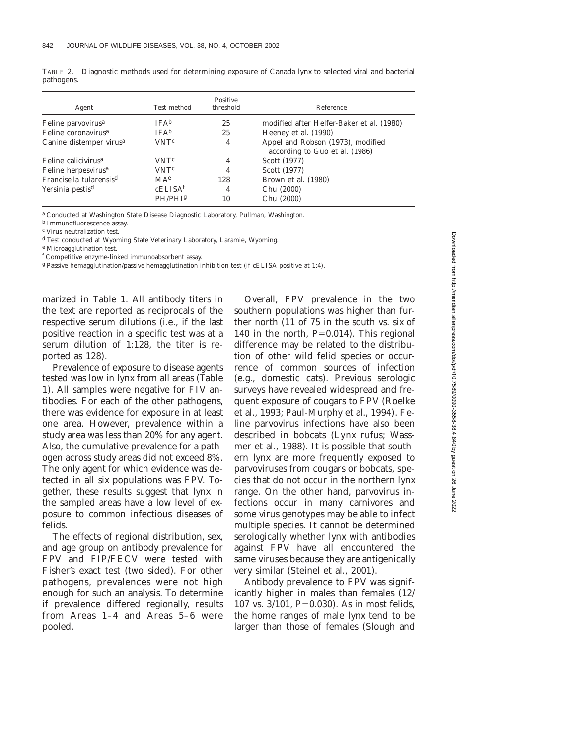| Agent                               | Test method            | Positive<br>threshold | Reference                                                           |
|-------------------------------------|------------------------|-----------------------|---------------------------------------------------------------------|
| Feline parvovirus <sup>a</sup>      | <b>IFA</b> b           | 25                    | modified after Helfer-Baker et al. (1980)                           |
| Feline coronavirus <sup>a</sup>     | <b>IFA</b> b           | 25                    | Heeney et al. (1990)                                                |
| Canine distemper virus <sup>a</sup> | <b>VNT<sup>c</sup></b> | 4                     | Appel and Robson (1973), modified<br>according to Guo et al. (1986) |
| Feline calicivirus <sup>a</sup>     | <b>VNT<sup>c</sup></b> | 4                     | Scott (1977)                                                        |
| Feline herpesvirus <sup>a</sup>     | <b>VNT<sup>c</sup></b> | 4                     | Scott (1977)                                                        |
| Francisella tularensis <sup>d</sup> | MA <sup>e</sup>        | 128                   | Brown et al. (1980)                                                 |
| Yersinia pestis <sup>d</sup>        | cELISA <sup>f</sup>    | 4                     | Chu (2000)                                                          |
|                                     | PH/PH <sub>Ig</sub>    | 10                    | Chu (2000)                                                          |

TABLE 2. Diagnostic methods used for determining exposure of Canada lynx to selected viral and bacterial pathogens.

<sup>a</sup> Conducted at Washington State Disease Diagnostic Laboratory, Pullman, Washington.

<sup>b</sup> Immunofluorescence assay.

<sup>c</sup> Virus neutralization test.

<sup>d</sup> Test conducted at Wyoming State Veterinary Laboratory, Laramie, Wyoming.

<sup>e</sup> Microagglutination test.

<sup>f</sup> Competitive enzyme-linked immunoabsorbent assay.

<sup>g</sup> Passive hemagglutination/passive hemagglutination inhibition test (if cELISA positive at 1:4).

marized in Table 1. All antibody titers in the text are reported as reciprocals of the respective serum dilutions (i.e., if the last positive reaction in a specific test was at a serum dilution of 1:128, the titer is reported as 128).

Prevalence of exposure to disease agents tested was low in lynx from all areas (Table 1). All samples were negative for FIV antibodies. For each of the other pathogens, there was evidence for exposure in at least one area. However, prevalence within a study area was less than 20% for any agent. Also, the cumulative prevalence for a pathogen across study areas did not exceed 8%. The only agent for which evidence was detected in all six populations was FPV. Together, these results suggest that lynx in the sampled areas have a low level of exposure to common infectious diseases of felids.

The effects of regional distribution, sex, and age group on antibody prevalence for FPV and FIP/FECV were tested with Fisher's exact test (two sided). For other pathogens, prevalences were not high enough for such an analysis. To determine if prevalence differed regionally, results from Areas 1–4 and Areas 5–6 were pooled.

Overall, FPV prevalence in the two southern populations was higher than further north (11 of 75 in the south vs. six of 140 in the north,  $P=0.014$ ). This regional difference may be related to the distribution of other wild felid species or occurrence of common sources of infection (e.g., domestic cats). Previous serologic surveys have revealed widespread and frequent exposure of cougars to FPV (Roelke et al., 1993; Paul-Murphy et al., 1994). Feline parvovirus infections have also been described in bobcats (*Lynx rufus*; Wassmer et al., 1988). It is possible that southern lynx are more frequently exposed to parvoviruses from cougars or bobcats, species that do not occur in the northern lynx range. On the other hand, parvovirus infections occur in many carnivores and some virus genotypes may be able to infect multiple species. It cannot be determined serologically whether lynx with antibodies against FPV have all encountered the same viruses because they are antigenically very similar (Steinel et al., 2001).

Antibody prevalence to FPV was significantly higher in males than females (12/ 107 vs. 3/101, *P*=0.030). As in most felids, the home ranges of male lynx tend to be larger than those of females (Slough and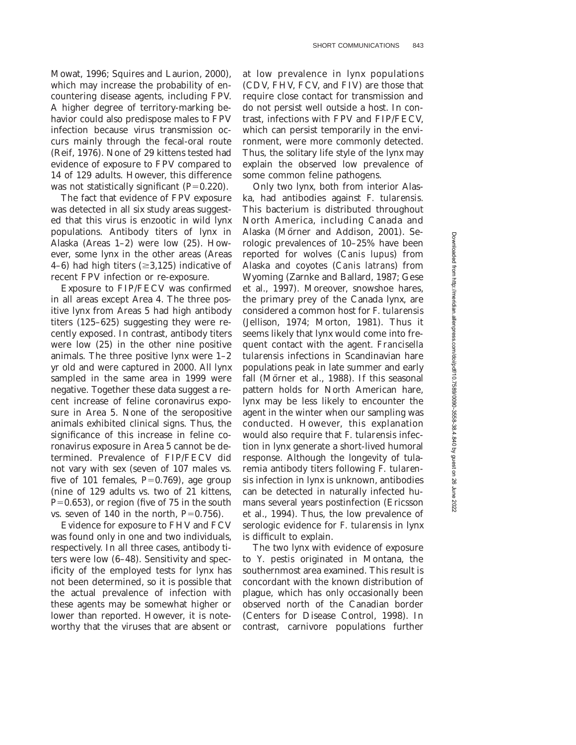Mowat, 1996; Squires and Laurion, 2000), which may increase the probability of encountering disease agents, including FPV. A higher degree of territory-marking behavior could also predispose males to FPV infection because virus transmission occurs mainly through the fecal-oral route (Reif, 1976). None of 29 kittens tested had evidence of exposure to FPV compared to 14 of 129 adults. However, this difference was not statistically significant  $(P=0.220)$ .

The fact that evidence of FPV exposure was detected in all six study areas suggested that this virus is enzootic in wild lynx populations. Antibody titers of lynx in Alaska (Areas 1–2) were low (25). However, some lynx in the other areas (Areas 4–6) had high titers  $(\geq 3,125)$  indicative of recent FPV infection or re-exposure.

Exposure to FIP/FECV was confirmed in all areas except Area 4. The three positive lynx from Areas 5 had high antibody titers (125–625) suggesting they were recently exposed. In contrast, antibody titers were low (25) in the other nine positive animals. The three positive lynx were 1–2 yr old and were captured in 2000. All lynx sampled in the same area in 1999 were negative. Together these data suggest a recent increase of feline coronavirus exposure in Area 5. None of the seropositive animals exhibited clinical signs. Thus, the significance of this increase in feline coronavirus exposure in Area 5 cannot be determined. Prevalence of FIP/FECV did not vary with sex (seven of 107 males vs. five of 101 females,  $P=0.769$ ), age group (nine of 129 adults vs. two of 21 kittens,  $P=0.653$ , or region (five of 75 in the south vs. seven of 140 in the north,  $P=0.756$ .

Evidence for exposure to FHV and FCV was found only in one and two individuals, respectively. In all three cases, antibody titers were low (6–48). Sensitivity and specificity of the employed tests for lynx has not been determined, so it is possible that the actual prevalence of infection with these agents may be somewhat higher or lower than reported. However, it is noteworthy that the viruses that are absent or at low prevalence in lynx populations (CDV, FHV, FCV, and FIV) are those that require close contact for transmission and do not persist well outside a host. In contrast, infections with FPV and FIP/FECV, which can persist temporarily in the environment, were more commonly detected. Thus, the solitary life style of the lynx may explain the observed low prevalence of some common feline pathogens.

Only two lynx, both from interior Alaska, had antibodies against *F. tularensis.* This bacterium is distributed throughout North America, including Canada and Alaska (Mörner and Addison, 2001). Serologic prevalences of 10–25% have been reported for wolves (*Canis lupus*) from Alaska and coyotes (*Canis latrans*) from Wyoming (Zarnke and Ballard, 1987; Gese et al., 1997). Moreover, snowshoe hares, the primary prey of the Canada lynx, are considered a common host for *F. tularensis* (Jellison, 1974; Morton, 1981). Thus it seems likely that lynx would come into frequent contact with the agent. *Francisella tularensis* infections in Scandinavian hare populations peak in late summer and early fall (Mörner et al., 1988). If this seasonal pattern holds for North American hare, lynx may be less likely to encounter the agent in the winter when our sampling was conducted. However, this explanation would also require that *F. tularensis* infection in lynx generate a short-lived humoral response. Although the longevity of tularemia antibody titers following *F. tularensis* infection in lynx is unknown, antibodies can be detected in naturally infected humans several years postinfection (Ericsson et al., 1994). Thus, the low prevalence of serologic evidence for *F. tularensis* in lynx is difficult to explain.

The two lynx with evidence of exposure to *Y. pestis* originated in Montana, the southernmost area examined. This result is concordant with the known distribution of plague, which has only occasionally been observed north of the Canadian border (Centers for Disease Control, 1998). In contrast, carnivore populations further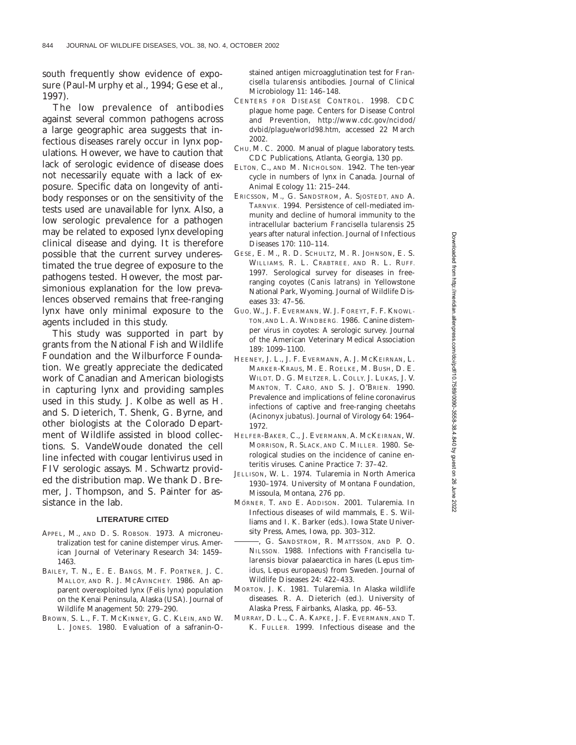south frequently show evidence of exposure (Paul-Murphy et al., 1994; Gese et al., 1997).

The low prevalence of antibodies against several common pathogens across a large geographic area suggests that infectious diseases rarely occur in lynx populations. However, we have to caution that lack of serologic evidence of disease does not necessarily equate with a lack of exposure. Specific data on longevity of antibody responses or on the sensitivity of the tests used are unavailable for lynx. Also, a low serologic prevalence for a pathogen may be related to exposed lynx developing clinical disease and dying. It is therefore possible that the current survey underestimated the true degree of exposure to the pathogens tested. However, the most parsimonious explanation for the low prevalences observed remains that free-ranging lynx have only minimal exposure to the agents included in this study.

This study was supported in part by grants from the National Fish and Wildlife Foundation and the Wilburforce Foundation. We greatly appreciate the dedicated work of Canadian and American biologists in capturing lynx and providing samples used in this study. J. Kolbe as well as H. and S. Dieterich, T. Shenk, G. Byrne, and other biologists at the Colorado Department of Wildlife assisted in blood collections. S. VandeWoude donated the cell line infected with cougar lentivirus used in FIV serologic assays. M. Schwartz provided the distribution map. We thank D. Bremer, J. Thompson, and S. Painter for assistance in the lab.

## **LITERATURE CITED**

- APPEL, M., AND D. S. ROBSON. 1973. A microneutralization test for canine distemper virus. American Journal of Veterinary Research 34: 1459– 1463.
- BAILEY, T. N., E. E. BANGS, M. F. PORTNER, J. C. MALLOY, AND R. J. MCAVINCHEY. 1986. An apparent overexploited lynx (*Felis lynx*) population on the Kenai Peninsula, Alaska (USA). Journal of Wildlife Management 50: 279–290.
- BROWN, S. L., F. T. MCKINNEY, G. C. KLEIN, AND W. L. JONES. 1980. Evaluation of a safranin-O-

stained antigen microagglutination test for *Francisella tularensis* antibodies. Journal of Clinical Microbiology 11: 146–148.

- CENTERS FOR DISEASE CONTROL. 1998. CDC plague home page. Centers for Disease Control and Prevention, *http://www.cdc.gov/ncidod/ dvbid/plague/world98.htm,* accessed 22 March 2002.
- CHU, M. C. 2000. Manual of plague laboratory tests. CDC Publications, Atlanta, Georgia, 130 pp.
- ELTON, C., AND M. NICHOLSON. 1942. The ten-year cycle in numbers of lynx in Canada. Journal of Animal Ecology 11: 215–244.
- ERICSSON, M., G. SANDSTROM, A. SJOSTEDT, AND A. TARNVIK. 1994. Persistence of cell-mediated immunity and decline of humoral immunity to the intracellular bacterium *Francisella tularensis* 25 years after natural infection. Journal of Infectious Diseases 170: 110–114.
- GESE, E. M., R. D. SCHULTZ, M. R. JOHNSON, E. S. WILLIAMS, R. L. CRABTREE, AND R. L. RUFF. 1997. Serological survey for diseases in freeranging coyotes (*Canis latrans*) in Yellowstone National Park, Wyoming. Journal of Wildlife Diseases 33: 47–56.
- GUO, W., J. F. EVERMANN, W. J. FOREYT, F. F. KNOWL-TON, AND L. A. WINDBERG. 1986. Canine distemper virus in coyotes: A serologic survey. Journal of the American Veterinary Medical Association 189: 1099–1100.
- HEENEY, J. L., J. F. EVERMANN, A. J. MCKEIRNAN, L. MARKER-KRAUS, M. E. ROELKE, M. BUSH, D. E. WILDT, D. G. MELTZER, L. COLLY, J. LUKAS, J. V. MANTON, T. CARO, AND S. J. O'BRIEN. 1990. Prevalence and implications of feline coronavirus infections of captive and free-ranging cheetahs (*Acinonyx jubatus*). Journal of Virology 64: 1964– 1972.
- HELFER-BAKER, C., J. EVERMANN, A. MCKEIRNAN, W. MORRISON, R. SLACK, AND C. MILLER. 1980. Serological studies on the incidence of canine enteritis viruses. Canine Practice 7: 37–42.
- JELLISON, W. L. 1974. Tularemia in North America 1930–1974. University of Montana Foundation, Missoula, Montana, 276 pp.
- MÖRNER, T. AND E. ADDISON. 2001. Tularemia. In Infectious diseases of wild mammals, E. S. Williams and I. K. Barker (eds.). Iowa State University Press, Ames, Iowa, pp. 303–312.
- , G. SANDSTROM, R. MATTSSON, AND P. O. NILSSON. 1988. Infections with *Francisella tularensis* biovar palaearctica in hares (*Lepus timidus, Lepus europaeus*) from Sweden. Journal of Wildlife Diseases 24: 422–433.
- MORTON, J. K. 1981. Tularemia. *In* Alaska wildlife diseases. R. A. Dieterich (ed.). University of Alaska Press, Fairbanks, Alaska, pp. 46–53.
- MURRAY, D. L., C. A. KAPKE, J. F. EVERMANN, AND T. K. FULLER. 1999. Infectious disease and the